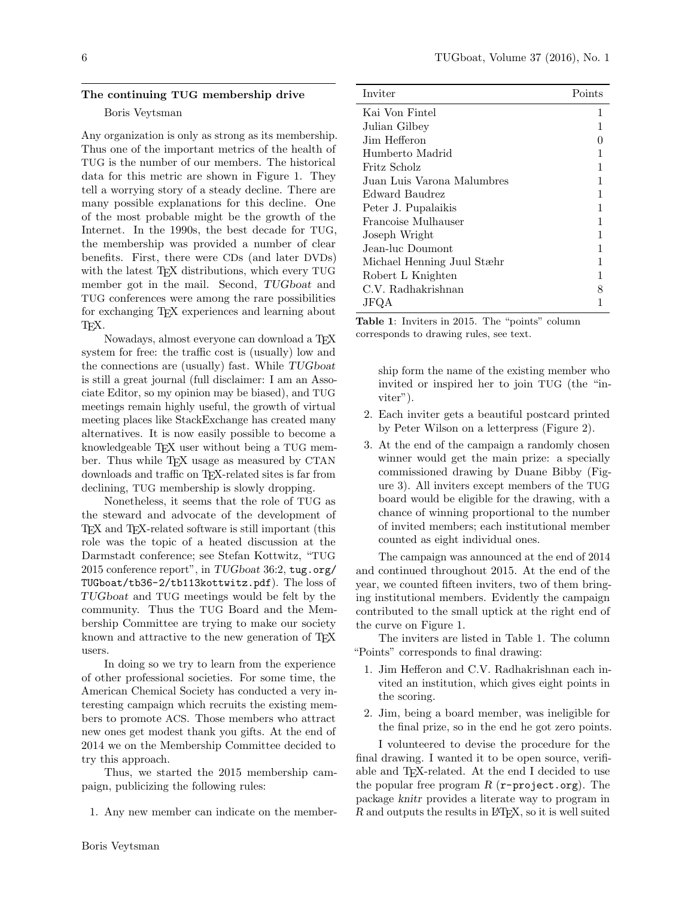## The continuing TUG membership drive

#### Boris Veytsman

Any organization is only as strong as its membership. Thus one of the important metrics of the health of TUG is the number of our members. The historical data for this metric are shown in Figure 1. They tell a worrying story of a steady decline. There are many possible explanations for this decline. One of the most probable might be the growth of the Internet. In the 1990s, the best decade for TUG, the membership was provided a number of clear benefits. First, there were CDs (and later DVDs) with the latest T<sub>E</sub>X distributions, which every TUG member got in the mail. Second, TUGboat and TUG conferences were among the rare possibilities for exchanging TEX experiences and learning about T<sub>F</sub>X.

Nowadays, almost everyone can download a TEX system for free: the traffic cost is (usually) low and the connections are (usually) fast. While TUGboat is still a great journal (full disclaimer: I am an Associate Editor, so my opinion may be biased), and TUG meetings remain highly useful, the growth of virtual meeting places like StackExchange has created many alternatives. It is now easily possible to become a knowledgeable TFX user without being a TUG member. Thus while T<sub>E</sub>X usage as measured by CTAN downloads and traffic on TEX-related sites is far from declining, TUG membership is slowly dropping.

Nonetheless, it seems that the role of TUG as the steward and advocate of the development of TEX and TEX-related software is still important (this role was the topic of a heated discussion at the Darmstadt conference; see Stefan Kottwitz, "TUG 2015 conference report", in TUGboat 36:2, tug.org/ TUGboat/tb36-2/tb113kottwitz.pdf). The loss of TUGboat and TUG meetings would be felt by the community. Thus the TUG Board and the Membership Committee are trying to make our society known and attractive to the new generation of T<sub>E</sub>X users.

In doing so we try to learn from the experience of other professional societies. For some time, the American Chemical Society has conducted a very interesting campaign which recruits the existing members to promote ACS. Those members who attract new ones get modest thank you gifts. At the end of 2014 we on the Membership Committee decided to try this approach.

Thus, we started the 2015 membership campaign, publicizing the following rules:

1. Any new member can indicate on the member-

| Inviter                    | Points |
|----------------------------|--------|
| Kai Von Fintel             | 1      |
| Julian Gilbey              |        |
| Jim Hefferon               |        |
| Humberto Madrid            |        |
| Fritz Scholz               |        |
| Juan Luis Varona Malumbres |        |
| Edward Baudrez             |        |
| Peter J. Pupalaikis        |        |
| Francoise Mulhauser        |        |
| Joseph Wright              |        |
| Jean-luc Doumont           |        |
| Michael Henning Juul Stæhr |        |
| Robert L Knighten          |        |
| C.V. Radhakrishnan         |        |
|                            |        |

Table 1: Inviters in 2015. The "points" column corresponds to drawing rules, see text.

> ship form the name of the existing member who invited or inspired her to join TUG (the "inviter").

- 2. Each inviter gets a beautiful postcard printed by Peter Wilson on a letterpress (Figure 2).
- 3. At the end of the campaign a randomly chosen winner would get the main prize: a specially commissioned drawing by Duane Bibby (Figure 3). All inviters except members of the TUG board would be eligible for the drawing, with a chance of winning proportional to the number of invited members; each institutional member counted as eight individual ones.

The campaign was announced at the end of 2014 and continued throughout 2015. At the end of the year, we counted fifteen inviters, two of them bringing institutional members. Evidently the campaign contributed to the small uptick at the right end of the curve on Figure 1.

The inviters are listed in Table 1. The column "Points" corresponds to final drawing:

- 1. Jim Hefferon and C.V. Radhakrishnan each invited an institution, which gives eight points in the scoring.
- 2. Jim, being a board member, was ineligible for the final prize, so in the end he got zero points.

I volunteered to devise the procedure for the final drawing. I wanted it to be open source, verifiable and TEX-related. At the end I decided to use the popular free program  $R$  (r-project.org). The package knitr provides a literate way to program in  $R$  and outputs the results in  $\mathbb{P}\mathbb{F}X$ , so it is well suited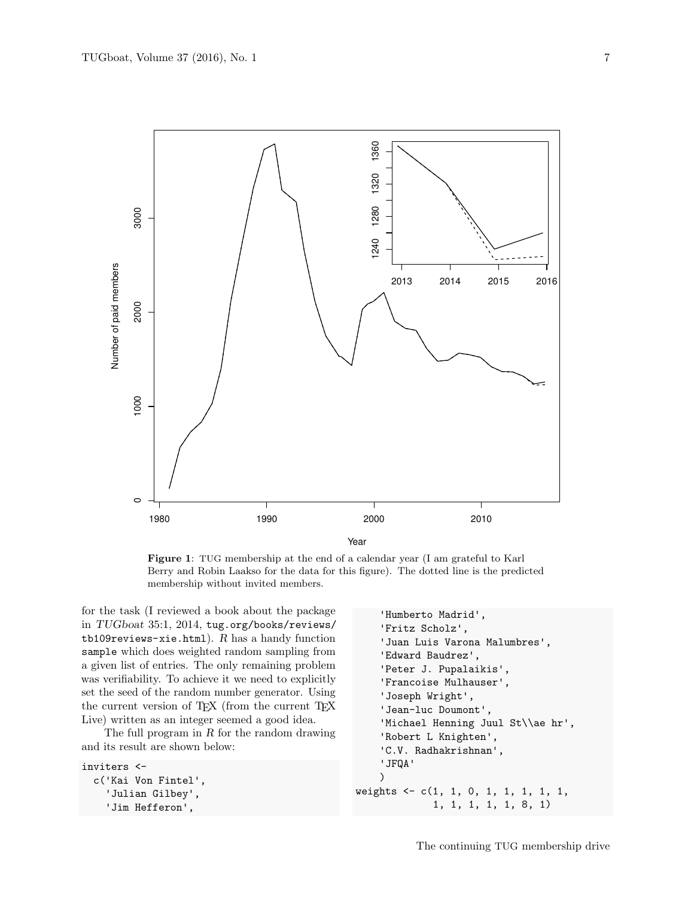

Year

Figure 1: TUG membership at the end of a calendar year (I am grateful to Karl Berry and Robin Laakso for the data for this figure). The dotted line is the predicted membership without invited members.

for the task (I reviewed a book about the package in TUGboat 35:1, 2014, tug.org/books/reviews/ tb109reviews-xie.html).  $R$  has a handy function sample which does weighted random sampling from a given list of entries. The only remaining problem was verifiability. To achieve it we need to explicitly set the seed of the random number generator. Using the current version of T<sub>E</sub>X (from the current T<sub>E</sub>X Live) written as an integer seemed a good idea.

The full program in  $R$  for the random drawing and its result are shown below:

```
inviters <-
  c('Kai Von Fintel',
    'Julian Gilbey',
    'Jim Hefferon',
```

```
'Humberto Madrid',
    'Fritz Scholz',
    'Juan Luis Varona Malumbres',
    'Edward Baudrez',
    'Peter J. Pupalaikis',
    'Francoise Mulhauser',
    'Joseph Wright',
    'Jean-luc Doumont',
    'Michael Henning Juul St\\ae hr',
    'Robert L Knighten',
    'C.V. Radhakrishnan',
    'JFQA'
    )
weights <- c(1, 1, 0, 1, 1, 1, 1, 1,
             1, 1, 1, 1, 1, 8, 1)
```